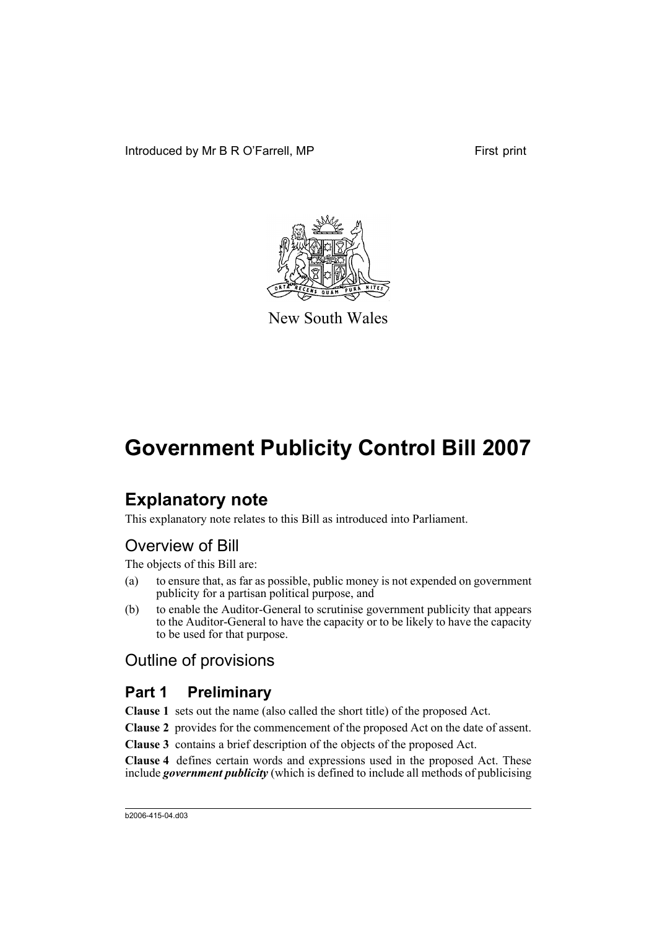

New South Wales

# **Explanatory note**

This explanatory note relates to this Bill as introduced into Parliament.

# Overview of Bill

The objects of this Bill are:

- (a) to ensure that, as far as possible, public money is not expended on government publicity for a partisan political purpose, and
- (b) to enable the Auditor-General to scrutinise government publicity that appears to the Auditor-General to have the capacity or to be likely to have the capacity to be used for that purpose.

## Outline of provisions

# **Part 1 Preliminary**

**Clause 1** sets out the name (also called the short title) of the proposed Act.

**Clause 2** provides for the commencement of the proposed Act on the date of assent.

**Clause 3** contains a brief description of the objects of the proposed Act.

**Clause 4** defines certain words and expressions used in the proposed Act. These include *government publicity* (which is defined to include all methods of publicising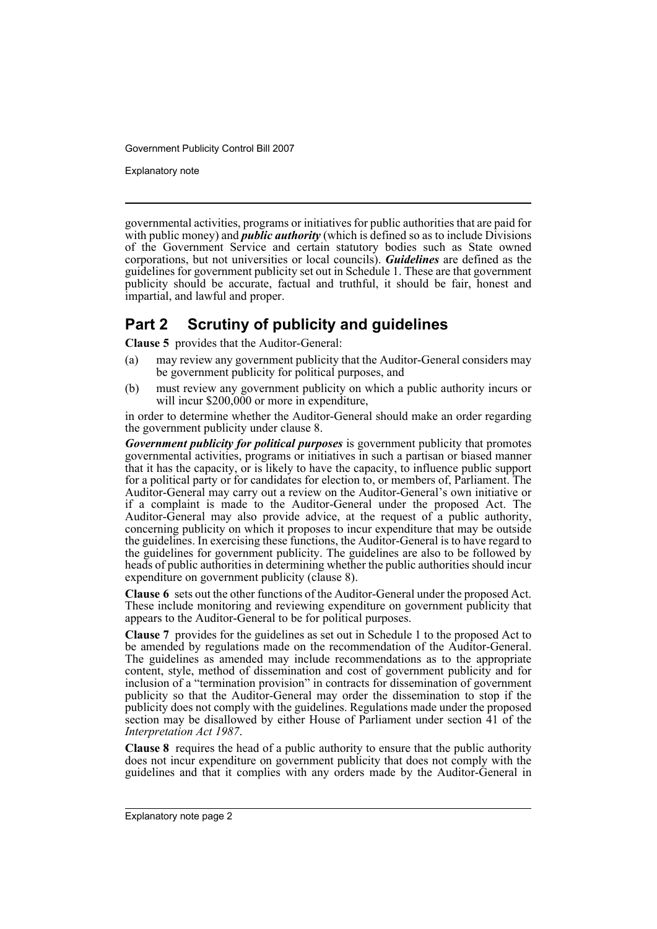Explanatory note

governmental activities, programs or initiatives for public authorities that are paid for with public money) and *public authority* (which is defined so as to include Divisions of the Government Service and certain statutory bodies such as State owned corporations, but not universities or local councils). *Guidelines* are defined as the guidelines for government publicity set out in Schedule 1. These are that government publicity should be accurate, factual and truthful, it should be fair, honest and impartial, and lawful and proper.

## **Part 2 Scrutiny of publicity and guidelines**

**Clause 5** provides that the Auditor-General:

- (a) may review any government publicity that the Auditor-General considers may be government publicity for political purposes, and
- (b) must review any government publicity on which a public authority incurs or will incur \$200,000 or more in expenditure,

in order to determine whether the Auditor-General should make an order regarding the government publicity under clause 8.

*Government publicity for political purposes* is government publicity that promotes governmental activities, programs or initiatives in such a partisan or biased manner that it has the capacity, or is likely to have the capacity, to influence public support for a political party or for candidates for election to, or members of, Parliament. The Auditor-General may carry out a review on the Auditor-General's own initiative or if a complaint is made to the Auditor-General under the proposed Act. The Auditor-General may also provide advice, at the request of a public authority, concerning publicity on which it proposes to incur expenditure that may be outside the guidelines. In exercising these functions, the Auditor-General is to have regard to the guidelines for government publicity. The guidelines are also to be followed by heads of public authorities in determining whether the public authorities should incur expenditure on government publicity (clause 8).

**Clause 6** sets out the other functions of the Auditor-General under the proposed Act. These include monitoring and reviewing expenditure on government publicity that appears to the Auditor-General to be for political purposes.

**Clause 7** provides for the guidelines as set out in Schedule 1 to the proposed Act to be amended by regulations made on the recommendation of the Auditor-General. The guidelines as amended may include recommendations as to the appropriate content, style, method of dissemination and cost of government publicity and for inclusion of a "termination provision" in contracts for dissemination of government publicity so that the Auditor-General may order the dissemination to stop if the publicity does not comply with the guidelines. Regulations made under the proposed section may be disallowed by either House of Parliament under section 41 of the *Interpretation Act 1987*.

**Clause 8** requires the head of a public authority to ensure that the public authority does not incur expenditure on government publicity that does not comply with the guidelines and that it complies with any orders made by the Auditor-General in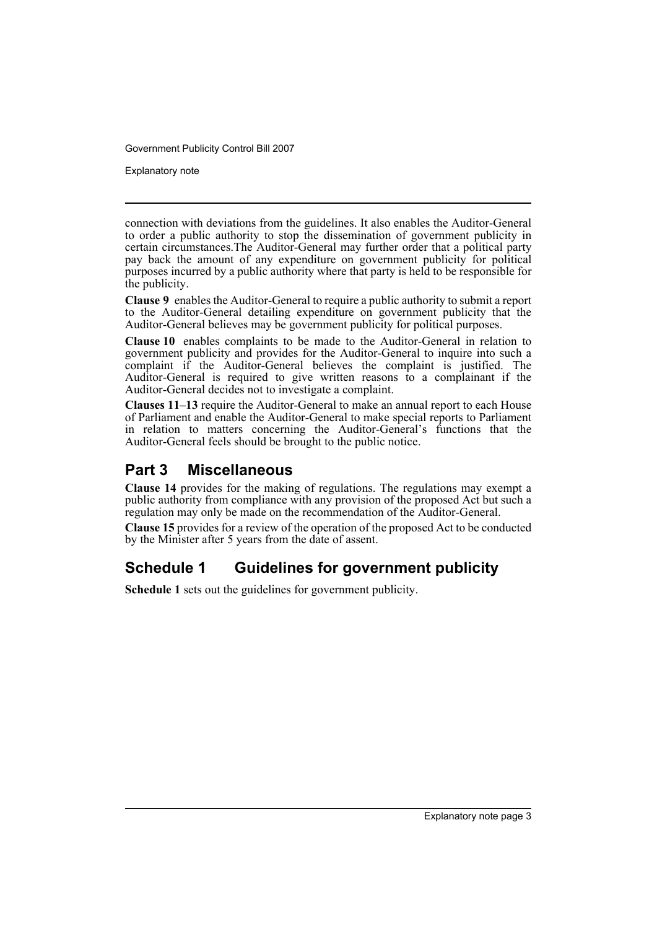Explanatory note

connection with deviations from the guidelines. It also enables the Auditor-General to order a public authority to stop the dissemination of government publicity in certain circumstances.The Auditor-General may further order that a political party pay back the amount of any expenditure on government publicity for political purposes incurred by a public authority where that party is held to be responsible for the publicity.

**Clause 9** enables the Auditor-General to require a public authority to submit a report to the Auditor-General detailing expenditure on government publicity that the Auditor-General believes may be government publicity for political purposes.

**Clause 10** enables complaints to be made to the Auditor-General in relation to government publicity and provides for the Auditor-General to inquire into such a complaint if the Auditor-General believes the complaint is justified. The Auditor-General is required to give written reasons to a complainant if the Auditor-General decides not to investigate a complaint.

**Clauses 11–13** require the Auditor-General to make an annual report to each House of Parliament and enable the Auditor-General to make special reports to Parliament in relation to matters concerning the Auditor-General's functions that the Auditor-General feels should be brought to the public notice.

## **Part 3 Miscellaneous**

**Clause 14** provides for the making of regulations. The regulations may exempt a public authority from compliance with any provision of the proposed Act but such a regulation may only be made on the recommendation of the Auditor-General.

**Clause 15** provides for a review of the operation of the proposed Act to be conducted by the Minister after 5 years from the date of assent.

# **Schedule 1 Guidelines for government publicity**

**Schedule 1** sets out the guidelines for government publicity.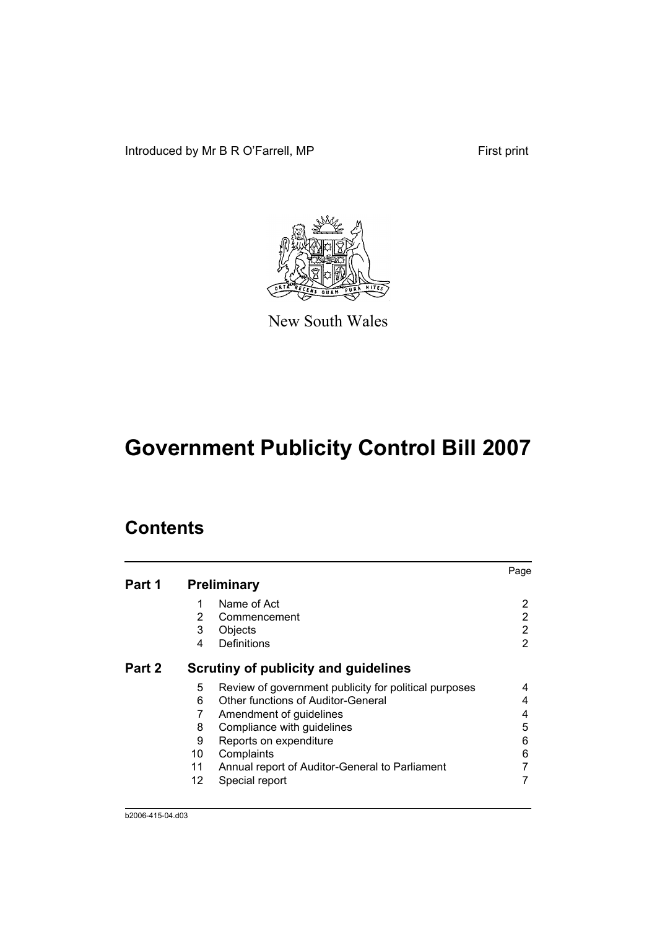Introduced by Mr B R O'Farrell, MP First print



New South Wales

# **Government Publicity Control Bill 2007**

# **Contents**

|        |    |                                                       | Page |
|--------|----|-------------------------------------------------------|------|
| Part 1 |    | <b>Preliminary</b>                                    |      |
|        | 1  | Name of Act                                           | 2    |
|        | 2  | Commencement                                          | 2    |
|        | 3  | Objects                                               | 2    |
|        | 4  | Definitions                                           | 2    |
| Part 2 |    | Scrutiny of publicity and guidelines                  |      |
|        | 5  | Review of government publicity for political purposes |      |
|        | 6  | Other functions of Auditor-General                    | 4    |
|        | 7  | Amendment of guidelines                               | 4    |
|        | 8  | Compliance with guidelines                            | 5    |
|        | 9  | Reports on expenditure                                | 6    |
|        | 10 | Complaints                                            | 6    |
|        | 11 | Annual report of Auditor-General to Parliament        |      |
|        | 12 | Special report                                        |      |
|        |    |                                                       |      |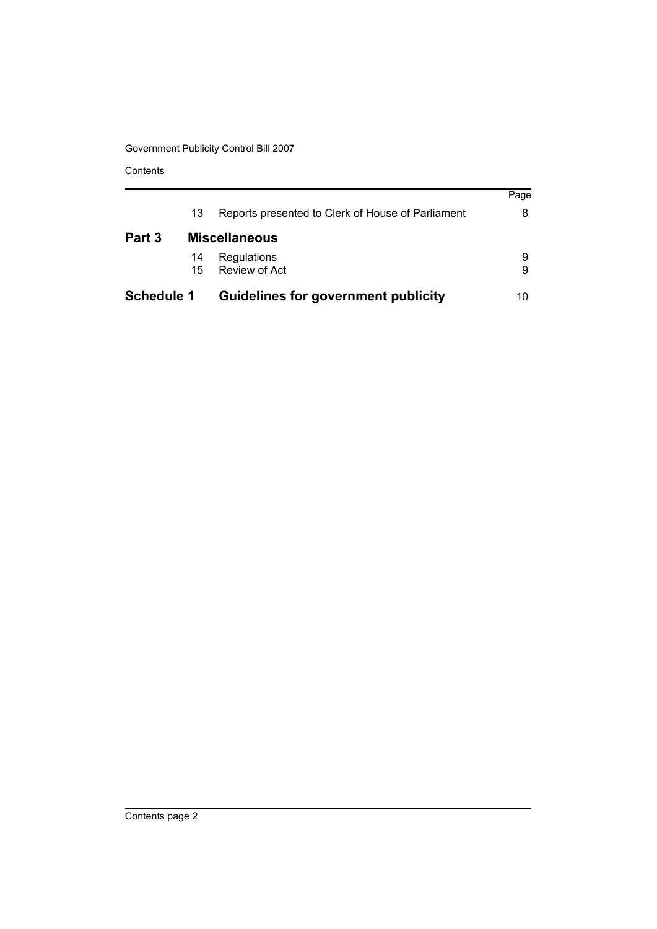Contents

| <b>Schedule 1</b> |    | <b>Guidelines for government publicity</b>        | 10   |
|-------------------|----|---------------------------------------------------|------|
|                   | 15 | Review of Act                                     | 9    |
|                   | 14 | Regulations                                       | 9    |
| Part 3            |    | <b>Miscellaneous</b>                              |      |
|                   | 13 | Reports presented to Clerk of House of Parliament | 8    |
|                   |    |                                                   | Page |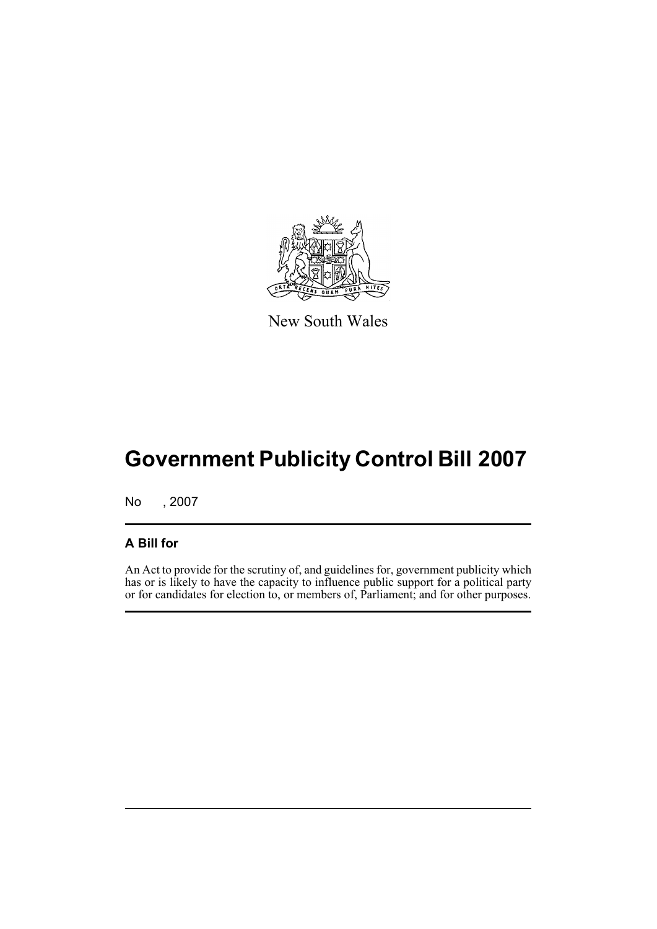

New South Wales

# **Government Publicity Control Bill 2007**

No , 2007

### **A Bill for**

An Act to provide for the scrutiny of, and guidelines for, government publicity which has or is likely to have the capacity to influence public support for a political party or for candidates for election to, or members of, Parliament; and for other purposes.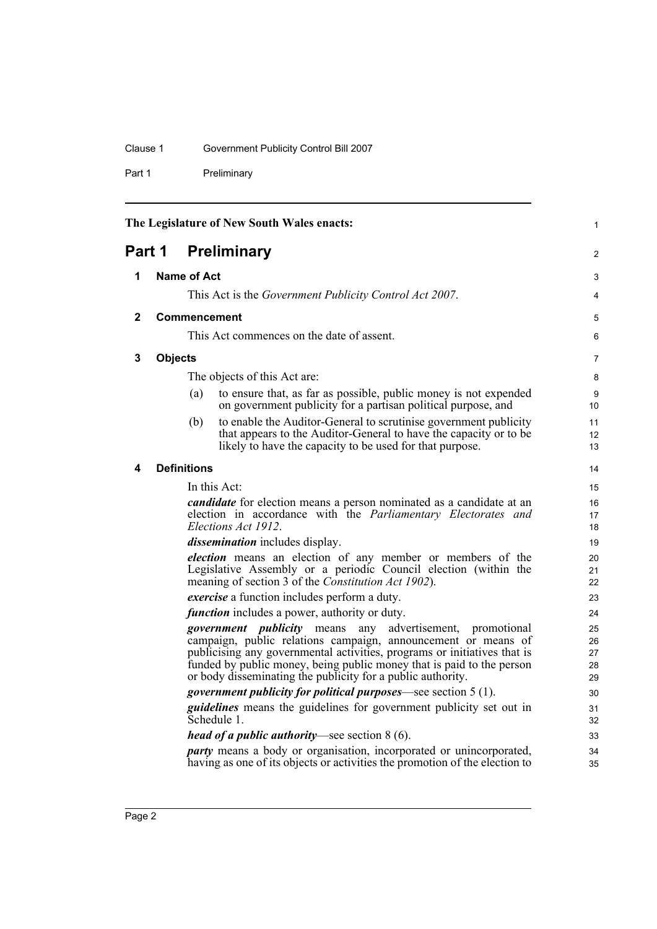## Clause 1 Government Publicity Control Bill 2007

Part 1 Preliminary

<span id="page-7-4"></span><span id="page-7-3"></span><span id="page-7-2"></span><span id="page-7-1"></span><span id="page-7-0"></span>

|              |                | The Legislature of New South Wales enacts:                                                                                                                                                                                                                                                                                                                     | $\mathbf{1}$               |
|--------------|----------------|----------------------------------------------------------------------------------------------------------------------------------------------------------------------------------------------------------------------------------------------------------------------------------------------------------------------------------------------------------------|----------------------------|
| Part 1       |                | <b>Preliminary</b>                                                                                                                                                                                                                                                                                                                                             | 2                          |
| 1            |                | Name of Act                                                                                                                                                                                                                                                                                                                                                    | 3                          |
|              |                | This Act is the Government Publicity Control Act 2007.                                                                                                                                                                                                                                                                                                         | 4                          |
| $\mathbf{2}$ |                | <b>Commencement</b>                                                                                                                                                                                                                                                                                                                                            | 5                          |
|              |                | This Act commences on the date of assent.                                                                                                                                                                                                                                                                                                                      | 6                          |
| 3            | <b>Objects</b> |                                                                                                                                                                                                                                                                                                                                                                | 7                          |
|              |                | The objects of this Act are:                                                                                                                                                                                                                                                                                                                                   | 8                          |
|              |                | to ensure that, as far as possible, public money is not expended<br>(a)<br>on government publicity for a partisan political purpose, and                                                                                                                                                                                                                       | 9<br>10                    |
|              |                | to enable the Auditor-General to scrutinise government publicity<br>(b)<br>that appears to the Auditor-General to have the capacity or to be<br>likely to have the capacity to be used for that purpose.                                                                                                                                                       | 11<br>12<br>13             |
| 4            |                | <b>Definitions</b>                                                                                                                                                                                                                                                                                                                                             | 14                         |
|              |                | In this Act:                                                                                                                                                                                                                                                                                                                                                   | 15                         |
|              |                | <i>candidate</i> for election means a person nominated as a candidate at an<br>election in accordance with the Parliamentary Electorates and<br>Elections Act 1912.                                                                                                                                                                                            | 16<br>17<br>18             |
|              |                | dissemination includes display.                                                                                                                                                                                                                                                                                                                                | 19                         |
|              |                | election means an election of any member or members of the<br>Legislative Assembly or a periodic Council election (within the<br>meaning of section 3 of the Constitution Act 1902).                                                                                                                                                                           | 20<br>21<br>22             |
|              |                | <i>exercise</i> a function includes perform a duty.                                                                                                                                                                                                                                                                                                            | 23                         |
|              |                | <i>function</i> includes a power, authority or duty.                                                                                                                                                                                                                                                                                                           | 24                         |
|              |                | advertisement,<br><i>government publicity</i> means<br>any<br>promotional<br>campaign, public relations campaign, announcement or means of<br>publicising any governmental activities, programs or initiatives that is<br>funded by public money, being public money that is paid to the person<br>or body disseminating the publicity for a public authority. | 25<br>26<br>27<br>28<br>29 |
|              |                | <i>government publicity for political purposes</i> —see section 5 (1).                                                                                                                                                                                                                                                                                         | 30                         |
|              |                | <i>guidelines</i> means the guidelines for government publicity set out in<br>Schedule 1.                                                                                                                                                                                                                                                                      | 31<br>32                   |
|              |                | <i>head of a public authority</i> —see section $8(6)$ .                                                                                                                                                                                                                                                                                                        | 33                         |
|              |                | <i>party</i> means a body or organisation, incorporated or unincorporated,<br>having as one of its objects or activities the promotion of the election to                                                                                                                                                                                                      | 34<br>35                   |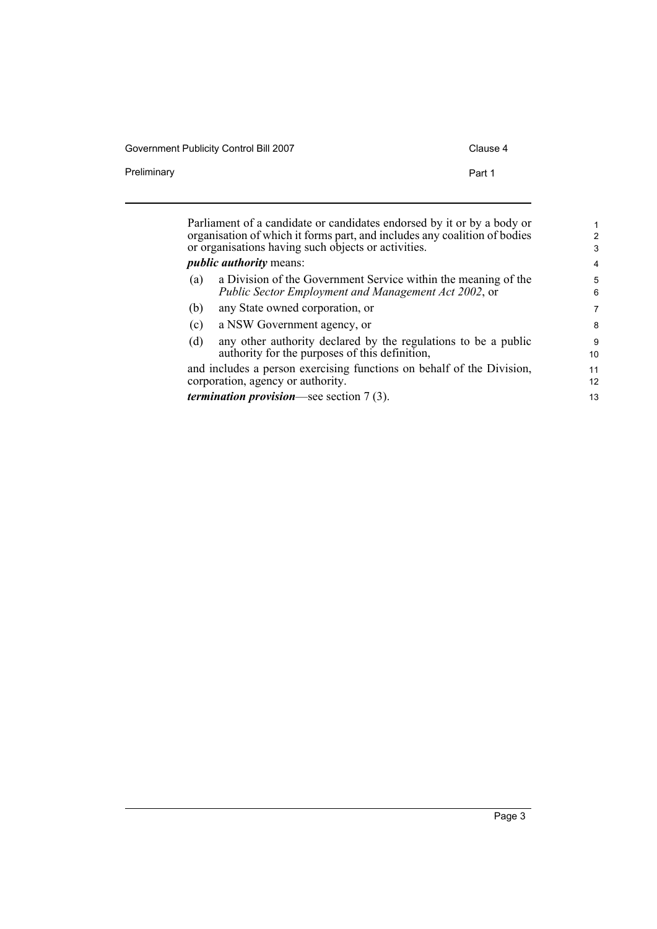| Government Publicity Control Bill 2007 | Clause 4 |
|----------------------------------------|----------|
| Preliminary                            | Part 1   |

|                                                                           | Parliament of a candidate or candidates endorsed by it or by a body or |                |  |  |
|---------------------------------------------------------------------------|------------------------------------------------------------------------|----------------|--|--|
| organisation of which it forms part, and includes any coalition of bodies |                                                                        |                |  |  |
| or organisations having such objects or activities.                       |                                                                        |                |  |  |
|                                                                           | <i>public authority means:</i>                                         | $\overline{4}$ |  |  |
| (a)                                                                       | a Division of the Government Service within the meaning of the         | 5              |  |  |
|                                                                           | Public Sector Employment and Management Act 2002, or                   | 6              |  |  |
| (b)                                                                       | any State owned corporation, or                                        | 7              |  |  |
| (c)                                                                       | a NSW Government agency, or                                            | 8              |  |  |
| (d)                                                                       | any other authority declared by the regulations to be a public         | 9              |  |  |
|                                                                           | authority for the purposes of this definition,                         | 10             |  |  |
|                                                                           | and includes a person exercising functions on behalf of the Division,  | 11             |  |  |
|                                                                           | corporation, agency or authority.                                      | 12             |  |  |
|                                                                           | <i>termination provision</i> —see section $7(3)$ .                     | 13             |  |  |
|                                                                           |                                                                        |                |  |  |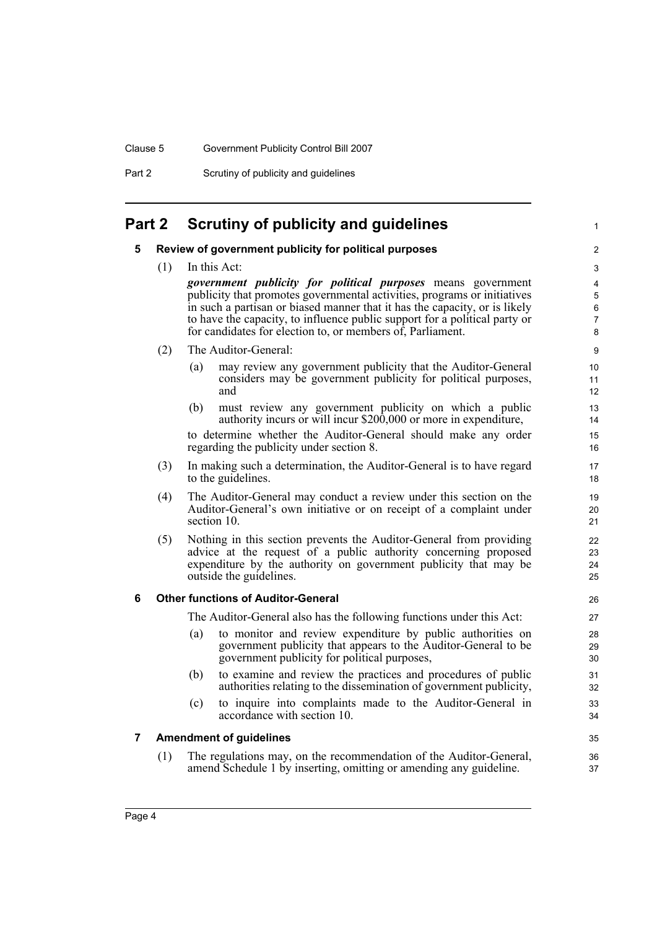Part 2 Scrutiny of publicity and guidelines

## <span id="page-9-1"></span><span id="page-9-0"></span>**Part 2 Scrutiny of publicity and guidelines**

#### **5 Review of government publicity for political purposes**

(1) In this Act:

*government publicity for political purposes* means government publicity that promotes governmental activities, programs or initiatives in such a partisan or biased manner that it has the capacity, or is likely to have the capacity, to influence public support for a political party or for candidates for election to, or members of, Parliament.

1

35 36 37

- (2) The Auditor-General:
	- (a) may review any government publicity that the Auditor-General considers may be government publicity for political purposes, and
	- (b) must review any government publicity on which a public authority incurs or will incur \$200,000 or more in expenditure,

to determine whether the Auditor-General should make any order regarding the publicity under section 8.

- (3) In making such a determination, the Auditor-General is to have regard to the guidelines.
- (4) The Auditor-General may conduct a review under this section on the Auditor-General's own initiative or on receipt of a complaint under section 10.
- (5) Nothing in this section prevents the Auditor-General from providing advice at the request of a public authority concerning proposed expenditure by the authority on government publicity that may be outside the guidelines.

#### <span id="page-9-2"></span>**6 Other functions of Auditor-General**

The Auditor-General also has the following functions under this Act:

- (a) to monitor and review expenditure by public authorities on government publicity that appears to the Auditor-General to be government publicity for political purposes,
- (b) to examine and review the practices and procedures of public authorities relating to the dissemination of government publicity,
- (c) to inquire into complaints made to the Auditor-General in accordance with section 10.

#### <span id="page-9-3"></span>**7 Amendment of guidelines**

(1) The regulations may, on the recommendation of the Auditor-General, amend Schedule 1 by inserting, omitting or amending any guideline.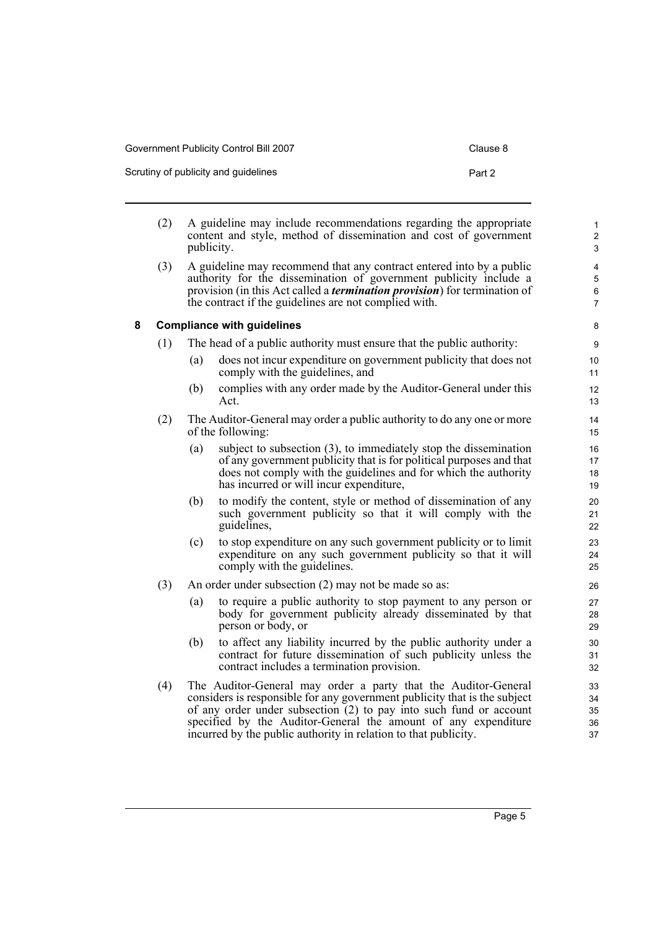| Government Publicity Control Bill 2007 | Clause 8 |
|----------------------------------------|----------|
| Scrutiny of publicity and guidelines   | Part 2   |

<span id="page-10-0"></span>

|   | (2) | publicity.                                                            | A guideline may include recommendations regarding the appropriate<br>content and style, method of dissemination and cost of government                                                                                                                                                  | $\mathbf{1}$<br>$\boldsymbol{2}$<br>3       |
|---|-----|-----------------------------------------------------------------------|-----------------------------------------------------------------------------------------------------------------------------------------------------------------------------------------------------------------------------------------------------------------------------------------|---------------------------------------------|
|   | (3) |                                                                       | A guideline may recommend that any contract entered into by a public<br>authority for the dissemination of government publicity include a<br>provision (in this Act called a <i>termination provision</i> ) for termination of<br>the contract if the guidelines are not complied with. | 4<br>$\mathbf 5$<br>$\,6$<br>$\overline{7}$ |
| 8 |     |                                                                       | <b>Compliance with guidelines</b>                                                                                                                                                                                                                                                       | 8                                           |
|   | (1) | The head of a public authority must ensure that the public authority: |                                                                                                                                                                                                                                                                                         |                                             |
|   |     | (a)                                                                   | does not incur expenditure on government publicity that does not<br>comply with the guidelines, and                                                                                                                                                                                     | 10<br>11                                    |
|   |     | (b)                                                                   | complies with any order made by the Auditor-General under this<br>Act.                                                                                                                                                                                                                  | 12<br>13                                    |
|   | (2) |                                                                       | The Auditor-General may order a public authority to do any one or more<br>of the following:                                                                                                                                                                                             | 14<br>15                                    |
|   |     | (a)                                                                   | subject to subsection (3), to immediately stop the dissemination<br>of any government publicity that is for political purposes and that<br>does not comply with the guidelines and for which the authority<br>has incurred or will incur expenditure,                                   | 16<br>17<br>18<br>19                        |
|   |     | (b)                                                                   | to modify the content, style or method of dissemination of any<br>such government publicity so that it will comply with the<br>guidelines,                                                                                                                                              | 20<br>21<br>22                              |
|   |     | (c)                                                                   | to stop expenditure on any such government publicity or to limit<br>expenditure on any such government publicity so that it will<br>comply with the guidelines.                                                                                                                         | 23<br>24<br>25                              |
|   | (3) |                                                                       | An order under subsection (2) may not be made so as:                                                                                                                                                                                                                                    | 26                                          |
|   |     | (a)                                                                   | to require a public authority to stop payment to any person or<br>body for government publicity already disseminated by that<br>person or body, or                                                                                                                                      | 27<br>28<br>29                              |
|   |     | (b)                                                                   | to affect any liability incurred by the public authority under a<br>contract for future dissemination of such publicity unless the<br>contract includes a termination provision.                                                                                                        | 30<br>31<br>32                              |
|   | (4) |                                                                       | The Auditor-General may order a party that the Auditor-General<br>considers is responsible for any government publicity that is the subject<br>of any order under subsection (2) to pay into such fund or account<br>specified by the Auditor-General the amount of any expenditure     | 33<br>34<br>35<br>36                        |

incurred by the public authority in relation to that publicity.

37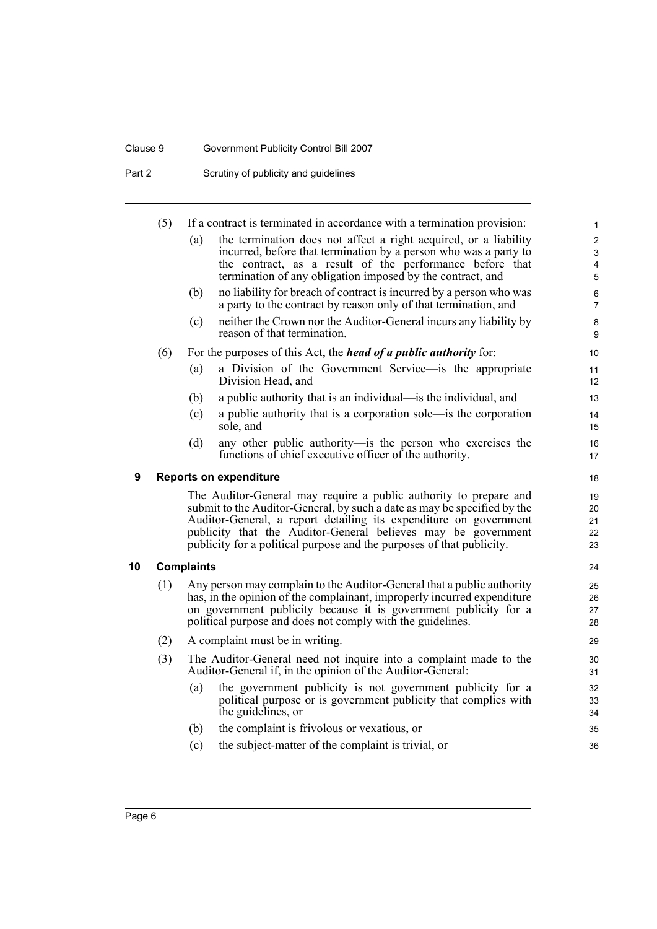## Clause 9 Government Publicity Control Bill 2007

Part 2 Scrutiny of publicity and guidelines

<span id="page-11-1"></span><span id="page-11-0"></span>

|    | (5)                                                                                                                                    |                                                                   | If a contract is terminated in accordance with a termination provision:                                                                             | $\mathbf{1}$              |  |  |
|----|----------------------------------------------------------------------------------------------------------------------------------------|-------------------------------------------------------------------|-----------------------------------------------------------------------------------------------------------------------------------------------------|---------------------------|--|--|
|    |                                                                                                                                        | (a)                                                               | the termination does not affect a right acquired, or a liability                                                                                    | $\overline{2}$            |  |  |
|    |                                                                                                                                        |                                                                   | incurred, before that termination by a person who was a party to                                                                                    | $\mathfrak{S}$            |  |  |
|    |                                                                                                                                        |                                                                   | the contract, as a result of the performance before that<br>termination of any obligation imposed by the contract, and                              | 4<br>5                    |  |  |
|    |                                                                                                                                        |                                                                   |                                                                                                                                                     |                           |  |  |
|    |                                                                                                                                        | (b)                                                               | no liability for breach of contract is incurred by a person who was<br>a party to the contract by reason only of that termination, and              | $\,6\,$<br>$\overline{7}$ |  |  |
|    |                                                                                                                                        | (c)                                                               | neither the Crown nor the Auditor-General incurs any liability by<br>reason of that termination.                                                    | 8<br>9                    |  |  |
|    | (6)                                                                                                                                    |                                                                   | For the purposes of this Act, the <i>head of a public authority</i> for:                                                                            | 10                        |  |  |
|    |                                                                                                                                        | (a)                                                               | a Division of the Government Service—is the appropriate<br>Division Head, and                                                                       | 11<br>12                  |  |  |
|    |                                                                                                                                        | (b)                                                               | a public authority that is an individual—is the individual, and                                                                                     | 13                        |  |  |
|    |                                                                                                                                        | (c)                                                               | a public authority that is a corporation sole—is the corporation<br>sole, and                                                                       | 14<br>15                  |  |  |
|    |                                                                                                                                        | (d)                                                               | any other public authority—is the person who exercises the                                                                                          |                           |  |  |
|    |                                                                                                                                        |                                                                   | functions of chief executive officer of the authority.                                                                                              | 16<br>17                  |  |  |
| 9  | <b>Reports on expenditure</b>                                                                                                          |                                                                   |                                                                                                                                                     |                           |  |  |
|    |                                                                                                                                        | The Auditor-General may require a public authority to prepare and |                                                                                                                                                     |                           |  |  |
|    |                                                                                                                                        |                                                                   | submit to the Auditor-General, by such a date as may be specified by the                                                                            | 20                        |  |  |
|    |                                                                                                                                        |                                                                   | Auditor-General, a report detailing its expenditure on government                                                                                   | 21                        |  |  |
|    | publicity that the Auditor-General believes may be government<br>publicity for a political purpose and the purposes of that publicity. |                                                                   | 22<br>23                                                                                                                                            |                           |  |  |
| 10 | <b>Complaints</b>                                                                                                                      |                                                                   |                                                                                                                                                     |                           |  |  |
|    |                                                                                                                                        |                                                                   |                                                                                                                                                     | 24                        |  |  |
|    | (1)                                                                                                                                    |                                                                   | Any person may complain to the Auditor-General that a public authority<br>has, in the opinion of the complainant, improperly incurred expenditure   | 25<br>26                  |  |  |
|    |                                                                                                                                        |                                                                   | on government publicity because it is government publicity for a                                                                                    | 27                        |  |  |
|    |                                                                                                                                        |                                                                   | political purpose and does not comply with the guidelines.                                                                                          | 28                        |  |  |
|    | (2)                                                                                                                                    |                                                                   | A complaint must be in writing.                                                                                                                     | 29                        |  |  |
|    | (3)                                                                                                                                    |                                                                   | The Auditor-General need not inquire into a complaint made to the<br>Auditor-General if, in the opinion of the Auditor-General:                     | 30<br>31                  |  |  |
|    |                                                                                                                                        | (a)                                                               | the government publicity is not government publicity for a<br>political purpose or is government publicity that complies with<br>the guidelines, or | 32<br>33<br>34            |  |  |
|    |                                                                                                                                        | (b)                                                               | the complaint is frivolous or vexatious, or                                                                                                         | 35                        |  |  |
|    |                                                                                                                                        | (c)                                                               | the subject-matter of the complaint is trivial, or                                                                                                  | 36                        |  |  |
|    |                                                                                                                                        |                                                                   |                                                                                                                                                     |                           |  |  |
|    |                                                                                                                                        |                                                                   |                                                                                                                                                     |                           |  |  |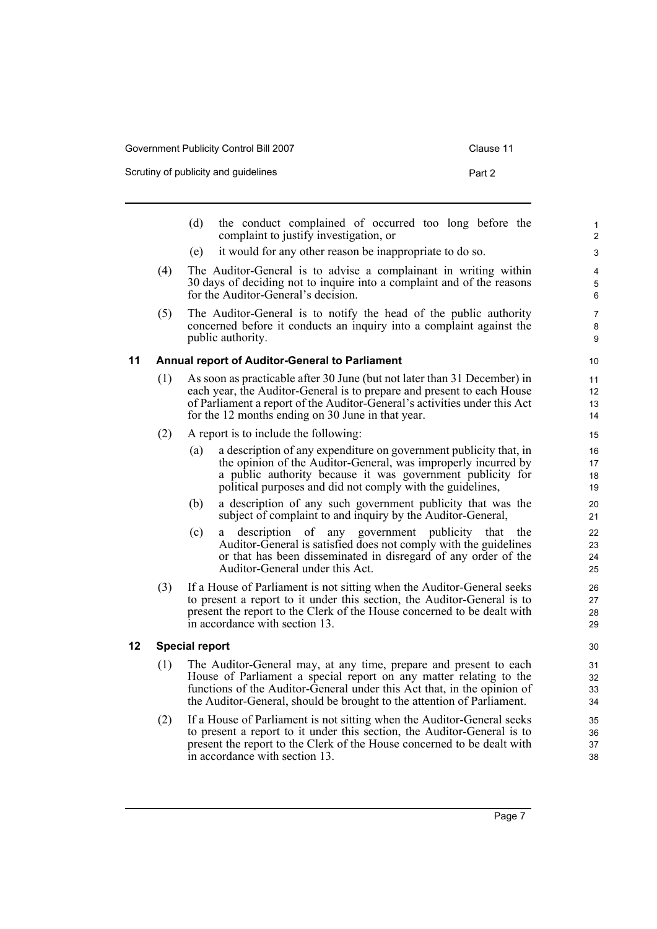| Government Publicity Control Bill 2007 |  |
|----------------------------------------|--|
|                                        |  |

<span id="page-12-1"></span>**12 Special report**

Scrutiny of publicity and guidelines **Part 2** Part 2

<span id="page-12-0"></span>

|    |                       | the conduct complained of occurred too long before the<br>(d)<br>complaint to justify investigation, or                                                                                                                                                                                      | $\mathbf{1}$<br>$\overline{c}$ |  |  |  |
|----|-----------------------|----------------------------------------------------------------------------------------------------------------------------------------------------------------------------------------------------------------------------------------------------------------------------------------------|--------------------------------|--|--|--|
|    |                       | it would for any other reason be inappropriate to do so.<br>(e)                                                                                                                                                                                                                              | 3                              |  |  |  |
|    | (4)                   | The Auditor-General is to advise a complainant in writing within<br>30 days of deciding not to inquire into a complaint and of the reasons<br>for the Auditor-General's decision.                                                                                                            | 4<br>5<br>6                    |  |  |  |
|    | (5)                   | The Auditor-General is to notify the head of the public authority<br>concerned before it conducts an inquiry into a complaint against the<br>public authority.                                                                                                                               | 7<br>8<br>9                    |  |  |  |
| 11 |                       | <b>Annual report of Auditor-General to Parliament</b>                                                                                                                                                                                                                                        | 10                             |  |  |  |
|    | (1)                   | As soon as practicable after 30 June (but not later than 31 December) in<br>each year, the Auditor-General is to prepare and present to each House<br>of Parliament a report of the Auditor-General's activities under this Act<br>for the 12 months ending on 30 June in that year.         | 11<br>12<br>13<br>14           |  |  |  |
|    | (2)                   | A report is to include the following:                                                                                                                                                                                                                                                        | 15                             |  |  |  |
|    |                       | a description of any expenditure on government publicity that, in<br>(a)<br>the opinion of the Auditor-General, was improperly incurred by<br>a public authority because it was government publicity for<br>political purposes and did not comply with the guidelines,                       | 16<br>17<br>18<br>19           |  |  |  |
|    |                       | a description of any such government publicity that was the<br>(b)<br>subject of complaint to and inquiry by the Auditor-General,                                                                                                                                                            | 20<br>21                       |  |  |  |
|    |                       | description of any government publicity that the<br>(c)<br>Auditor-General is satisfied does not comply with the guidelines<br>or that has been disseminated in disregard of any order of the<br>Auditor-General under this Act.                                                             | 22<br>23<br>24<br>25           |  |  |  |
|    | (3)                   | If a House of Parliament is not sitting when the Auditor-General seeks<br>to present a report to it under this section, the Auditor-General is to<br>present the report to the Clerk of the House concerned to be dealt with<br>in accordance with section 13.                               | 26<br>27<br>28<br>29           |  |  |  |
| 12 | <b>Special report</b> |                                                                                                                                                                                                                                                                                              |                                |  |  |  |
|    | (1)                   | The Auditor-General may, at any time, prepare and present to each<br>House of Parliament a special report on any matter relating to the<br>functions of the Auditor-General under this Act that, in the opinion of<br>the Auditor-General, should be brought to the attention of Parliament. | 31<br>32<br>33<br>34           |  |  |  |
|    | (2)                   | If a House of Parliament is not sitting when the Auditor-General seeks<br>to present a report to it under this section, the Auditor-General is to<br>present the report to the Clerk of the House concerned to be dealt with<br>in accordance with section 13.                               | 35<br>36<br>37<br>38           |  |  |  |
|    |                       |                                                                                                                                                                                                                                                                                              |                                |  |  |  |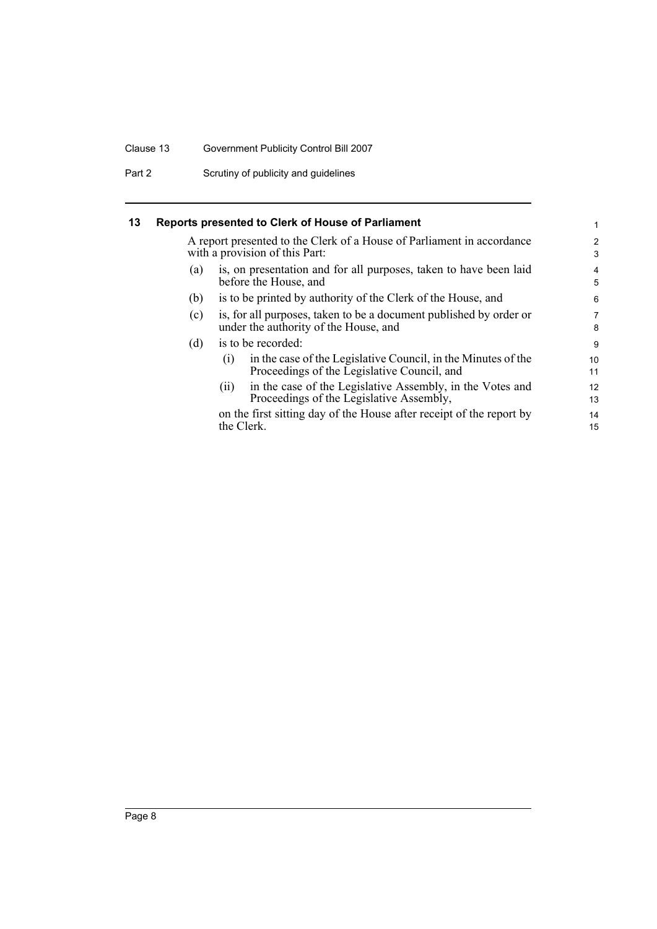#### Clause 13 Government Publicity Control Bill 2007

Part 2 Scrutiny of publicity and guidelines

<span id="page-13-0"></span>

A report presented to the Clerk of a House of Parliament in accordance with a provision of this Part:

- (a) is, on presentation and for all purposes, taken to have been laid before the House, and
- (b) is to be printed by authority of the Clerk of the House, and
- (c) is, for all purposes, taken to be a document published by order or under the authority of the House, and
- (d) is to be recorded:

| (i) | in the case of the Legislative Council, in the Minutes of the |  |
|-----|---------------------------------------------------------------|--|
|     | Proceedings of the Legislative Council, and                   |  |

(ii) in the case of the Legislative Assembly, in the Votes and Proceedings of the Legislative Assembly,

on the first sitting day of the House after receipt of the report by the Clerk.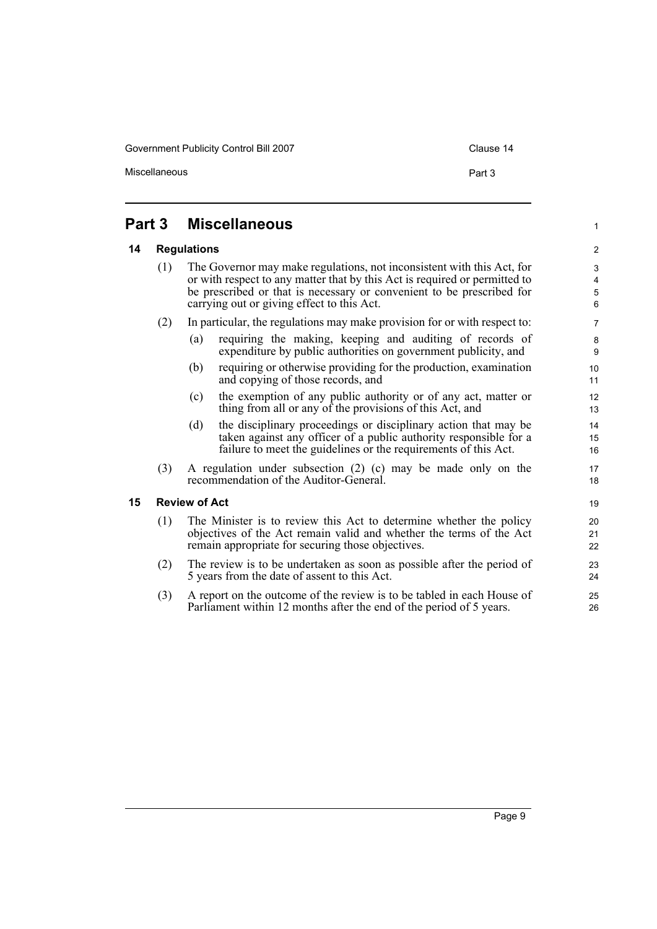Government Publicity Control Bill 2007 Control Bill 2007 Clause 14

Miscellaneous **Part 3** 

1

### <span id="page-14-0"></span>**Part 3 Miscellaneous**

#### <span id="page-14-1"></span>**14 Regulations**

(1) The Governor may make regulations, not inconsistent with this Act, for or with respect to any matter that by this Act is required or permitted to be prescribed or that is necessary or convenient to be prescribed for carrying out or giving effect to this Act.

#### (2) In particular, the regulations may make provision for or with respect to:

- (a) requiring the making, keeping and auditing of records of expenditure by public authorities on government publicity, and
- (b) requiring or otherwise providing for the production, examination and copying of those records, and
- (c) the exemption of any public authority or of any act, matter or thing from all or any of the provisions of this Act, and
- (d) the disciplinary proceedings or disciplinary action that may be taken against any officer of a public authority responsible for a failure to meet the guidelines or the requirements of this Act.
- (3) A regulation under subsection (2) (c) may be made only on the recommendation of the Auditor-General.

#### <span id="page-14-2"></span>**15 Review of Act**

- (1) The Minister is to review this Act to determine whether the policy objectives of the Act remain valid and whether the terms of the Act remain appropriate for securing those objectives.
- (2) The review is to be undertaken as soon as possible after the period of 5 years from the date of assent to this Act.
- (3) A report on the outcome of the review is to be tabled in each House of Parliament within 12 months after the end of the period of 5 years.